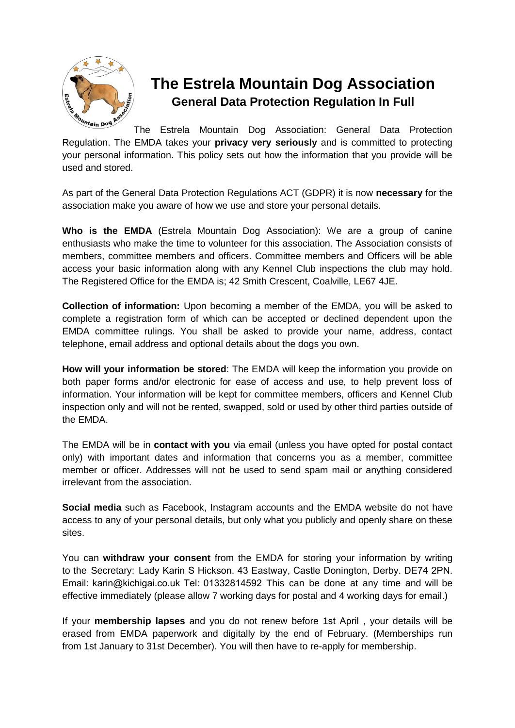

## **The Estrela Mountain Dog Association General Data Protection Regulation In Full**

The Estrela Mountain Dog Association: General Data Protection Regulation. The EMDA takes your **privacy very seriously** and is committed to protecting your personal information. This policy sets out how the information that you provide will be used and stored.

As part of the General Data Protection Regulations ACT (GDPR) it is now **necessary** for the association make you aware of how we use and store your personal details.

**Who is the EMDA** (Estrela Mountain Dog Association): We are a group of canine enthusiasts who make the time to volunteer for this association. The Association consists of members, committee members and officers. Committee members and Officers will be able access your basic information along with any Kennel Club inspections the club may hold. The Registered Office for the EMDA is; 42 Smith Crescent, Coalville, LE67 4JE.

**Collection of information:** Upon becoming a member of the EMDA, you will be asked to complete a registration form of which can be accepted or declined dependent upon the EMDA committee rulings. You shall be asked to provide your name, address, contact telephone, email address and optional details about the dogs you own.

**How will your information be stored**: The EMDA will keep the information you provide on both paper forms and/or electronic for ease of access and use, to help prevent loss of information. Your information will be kept for committee members, officers and Kennel Club inspection only and will not be rented, swapped, sold or used by other third parties outside of the EMDA.

The EMDA will be in **contact with you** via email (unless you have opted for postal contact only) with important dates and information that concerns you as a member, committee member or officer. Addresses will not be used to send spam mail or anything considered irrelevant from the association.

**Social media** such as Facebook, Instagram accounts and the EMDA website do not have access to any of your personal details, but only what you publicly and openly share on these sites.

You can **withdraw your consent** from the EMDA for storing your information by writing to the Secretary: Lady Karin S Hickson. 43 Eastway, Castle Donington, Derby. DE74 2PN. Email: karin@kichig[ai.co.uk Tel: 01332814592](mailto:Louise_Bermingham@yahoo.co.uk) This can be done at any time and will be effective immediately (please allow 7 working days for postal and 4 working days for email.)

If your **membership lapses** and you do not renew before 1st April , your details will be erased from EMDA paperwork and digitally by the end of February. (Memberships run from 1st January to 31st December). You will then have to re-apply for membership.